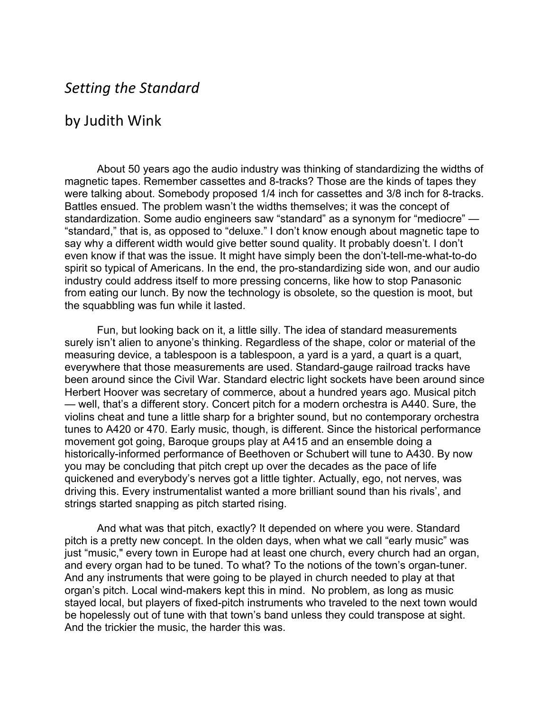## *Setting the Standard*

## by Judith Wink

About 50 years ago the audio industry was thinking of standardizing the widths of magnetic tapes. Remember cassettes and 8-tracks? Those are the kinds of tapes they were talking about. Somebody proposed 1/4 inch for cassettes and 3/8 inch for 8-tracks. Battles ensued. The problem wasn't the widths themselves; it was the concept of standardization. Some audio engineers saw "standard" as a synonym for "mediocre" — "standard," that is, as opposed to "deluxe." I don't know enough about magnetic tape to say why a different width would give better sound quality. It probably doesn't. I don't even know if that was the issue. It might have simply been the don't-tell-me-what-to-do spirit so typical of Americans. In the end, the pro-standardizing side won, and our audio industry could address itself to more pressing concerns, like how to stop Panasonic from eating our lunch. By now the technology is obsolete, so the question is moot, but the squabbling was fun while it lasted.

Fun, but looking back on it, a little silly. The idea of standard measurements surely isn't alien to anyone's thinking. Regardless of the shape, color or material of the measuring device, a tablespoon is a tablespoon, a yard is a yard, a quart is a quart, everywhere that those measurements are used. Standard-gauge railroad tracks have been around since the Civil War. Standard electric light sockets have been around since Herbert Hoover was secretary of commerce, about a hundred years ago. Musical pitch — well, that's a different story. Concert pitch for a modern orchestra is A440. Sure, the violins cheat and tune a little sharp for a brighter sound, but no contemporary orchestra tunes to A420 or 470. Early music, though, is different. Since the historical performance movement got going, Baroque groups play at A415 and an ensemble doing a historically-informed performance of Beethoven or Schubert will tune to A430. By now you may be concluding that pitch crept up over the decades as the pace of life quickened and everybody's nerves got a little tighter. Actually, ego, not nerves, was driving this. Every instrumentalist wanted a more brilliant sound than his rivals', and strings started snapping as pitch started rising.

And what was that pitch, exactly? It depended on where you were. Standard pitch is a pretty new concept. In the olden days, when what we call "early music" was just "music," every town in Europe had at least one church, every church had an organ, and every organ had to be tuned. To what? To the notions of the town's organ-tuner. And any instruments that were going to be played in church needed to play at that organ's pitch. Local wind-makers kept this in mind. No problem, as long as music stayed local, but players of fixed-pitch instruments who traveled to the next town would be hopelessly out of tune with that town's band unless they could transpose at sight. And the trickier the music, the harder this was.